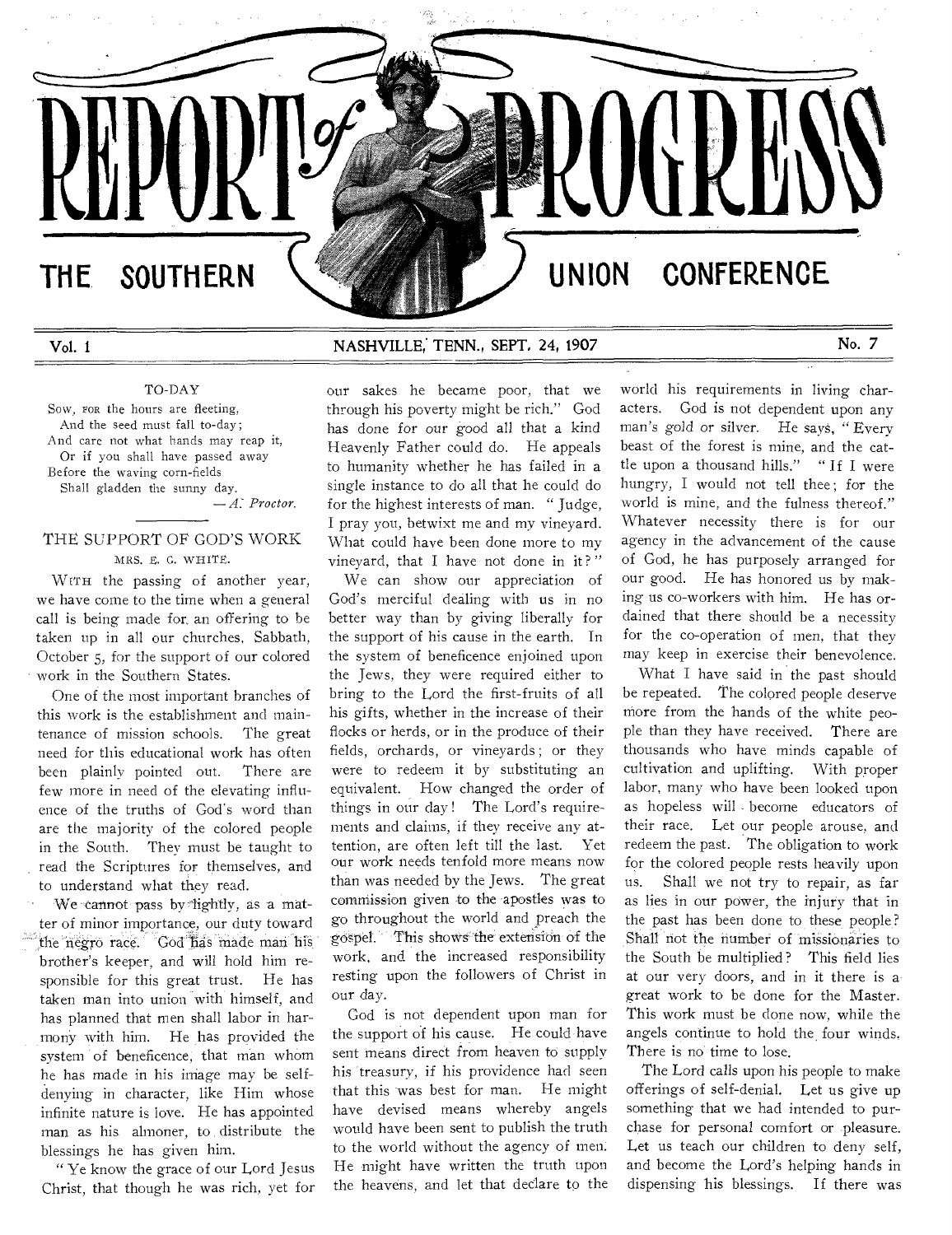# THE SOUTHERN  $\setminus$  **We have a set of the UNION CONFERENCE**

Vol. 1 NASHVILLE, TENN., SEPT, 24, 1907 No. 7

# TO-DAY

Sow, ron the hours are fleeting, And the seed must fall to-day; And care not what hands may reap it, Or if you shall have passed away Before the waving corn-fields Shall gladden the sunny day.

*—A: Proctor.* 

# THE SUPPORT OF GOD'S WORK MRS. B. C. WHITE.

WITH the passing of another year, we have come to the time when a general call is being made for, an offering to be taken up in all our churches, Sabbath, October 5, for the support of our colored work in the Southern States.

One of the most important branches of this work is the establishment and maintenance of mission schools. The great need for this educational work has often been plainly pointed out. There are few more in need of the elevating influence of the truths of God's word than are the majority of the colored people in the South. They must be taught to read the Scriptures for themselves, and to understand what they read.

We cannot pass by fightly, as a matter of minor importance, our duty toward the negro race. God has made man his brother's keeper, and will hold him responsible for this great trust. He has taken man into union with himself, and has planned that men shall labor in harmony with him. He has provided the system of beneficence, that man whom he has made in his image may be selfdenying in character, like Him whose infinite nature is love. He has appointed man as his almoner, to distribute the blessings he has given him.

" Ye know the grace of our Lord Jesus Christ, that though he was rich, yet for

our sakes he became poor, that we through his poverty might be rich." God has done for our good all that a kind Heavenly Father could do. He appeals to humanity whether he has failed in a single instance to do all that he could do for the highest interests of man. " Judge, I pray you, betwixt me and my vineyard. What could have been done more to my vineyard, that I have not done in it?"

We can show our appreciation of God's merciful dealing with us in no better way than by giving liberally for the support of his cause in the earth. In the system of beneficence enjoined upon the Jews, they were required either to bring to the Lord the first-fruits of all his gifts, whether in the increase of their flocks or herds, or in the produce of their fields, orchards, or vineyards ; or they were to redeem it by substituting an equivalent. How changed the order of things in our day ! The Lord's requirements and claims, if they receive any attention, are often left till the last. Yet our work needs tenfold more means now than was needed by the Jews. The great commission given to the apostles was to go throughout the world and preach the gospel. This shoves' the extension of the work, and the increased responsibility resting upon the followers of Christ in our day.

God is not dependent upon man for the support of his cause. He could have sent means direct from heaven to supply his treasury, if his providence had seen that this was best for man. He might have devised means whereby angels would have been sent to publish the truth to the world without the agency of men. He might have written the truth upon the heavens, and let that declare to the

world his requirements in living characters. God is not dependent upon any man's gold or silver. He says, "Every beast of the forest is mine, and the cattle upon a thousand hills." " If I were hungry, I would not tell thee; for the world is mine, and the fulness thereof." Whatever necessity there is for our agency in the advancement of the cause of God, he has purposely arranged for our good. He has honored us by making us co-workers with him. He has ordained that there should be a necessity for the co-operation of men, that they may keep in exercise their benevolence.

What I have said in the past should be repeated. The colored people deserve more from the hands of the white people than they have received. There are thousands who have minds capable of cultivation and uplifting. With proper labor, many who have been looked upon as hopeless will , become educators of their race. Let our people arouse, and redeem the past. The obligation to work for the colored people rests heavily upon us. Shall we not try to repair, as far as lies in our power, the injury that in the past has been done to these people? Shall not the number of missionaries to the South be multiplied ? This field lies at our very doors, and in it there is a great work to be done for the Master. This work must be done now, while the angels continue to hold the four winds. There is no time to lose.

The Lord calls upon his people to make offerings of self-denial. Let us give up something that we had intended to purchase for personal comfort or pleasure. Let us teach our children to deny self, and become the Lord's helping hands in dispensing his blessings. If there was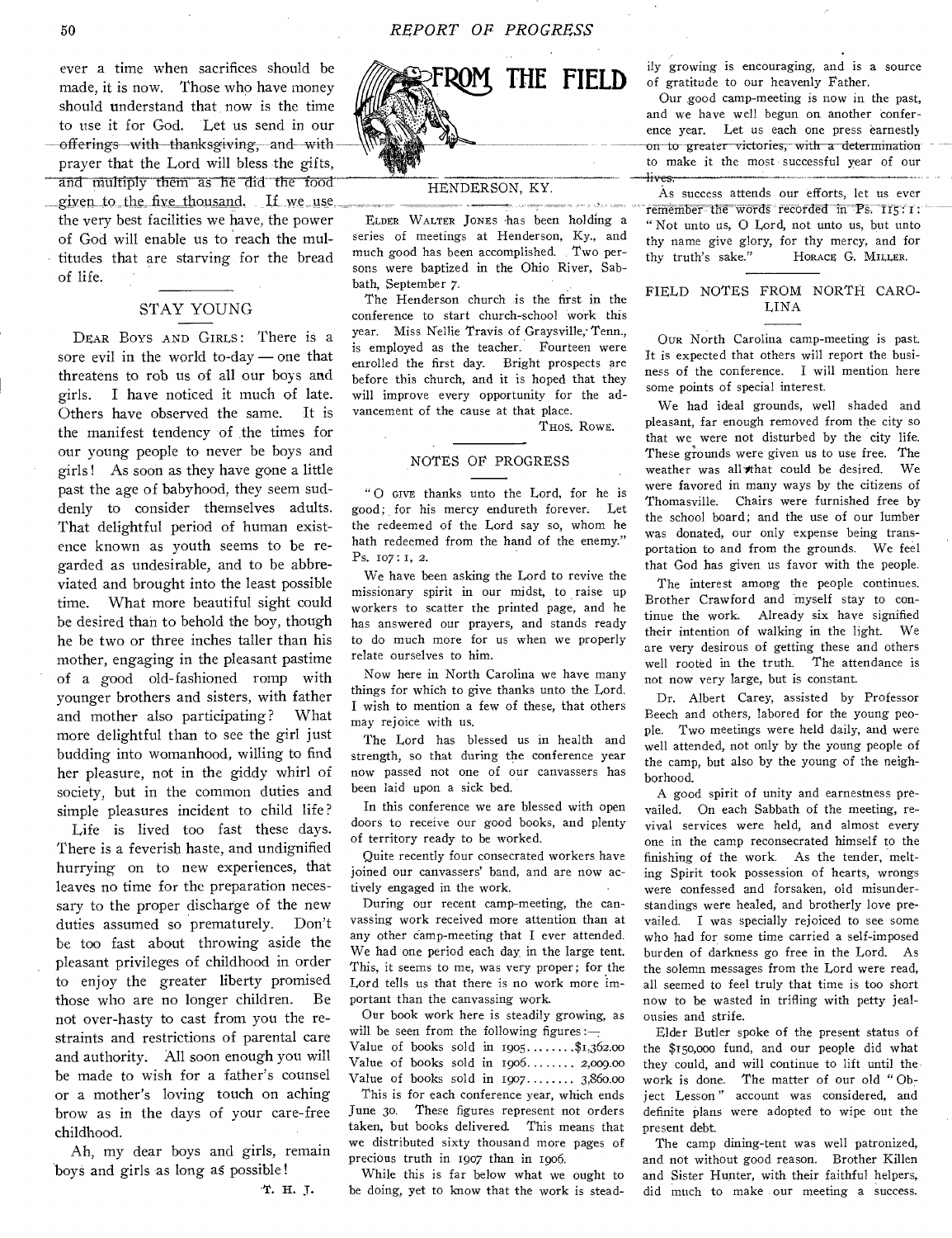the very best facilities we have, the power of God will enable us to reach the multitudes that are starving for the bread of life. ever a time when sacrifices should be made, it is now. Those who have money should understand that now is the time to use it for God. Let us send in our offerings with thanksgiving, and with prayer that the Lord will bless the gifts, and multiply them as he did the food given to the five thousand. If we use

# STAY YOUNG

DEAR BOYS AND GIRLS: There is a sore evil in the world to-day — one that threatens to rob us of all our boys and girls. I have noticed it much of late. Others have observed the same. It is the manifest tendency of the times for our young people to never be boys and girls ! As soon as they have gone a little past the age of babyhood, they seem suddenly to consider themselves adults. That delightful period of human existence known as youth seems to be regarded as undesirable, and to be abbreviated and brought into the least possible time. What more beautiful sight could be desired than to behold the boy, though he be two or three inches taller than his mother, engaging in the pleasant pastime of a good old-fashioned romp with younger brothers and sisters, with father and mother also participating? What more delightful than to see the girl just budding into womanhood, willing to find her pleasure, not in the giddy whirl of society, but in the common duties and simple pleasures incident to child life?

Life is lived too fast these days. There is a feverish haste, and undignified hurrying on to new experiences, that leaves no time for the preparation necessary to the proper discharge of the new duties assumed so prematurely. Don't be too fast about throwing aside the pleasant privileges of childhood in order to enjoy the greater liberty promised those who are no longer children. Be not over-hasty to cast from you the restraints and restrictions of parental care and authority. All soon enough you will be made to wish for a father's counsel or a mother's loving touch on aching brow as in the days of your care-free childhood.

Ah, my dear boys and girls, remain boys and girls as long as possible !

T. H. J.



## HENDERSON, KY.

ELDER WALTER JONES has been holding a series of meetings at Henderson, Ky., and much good has been accomplished. Two persons were baptized in the Ohio River, Sabbath, September 7.

The Henderson church is the first in the conference to start church-school work this year. Miss Nellie Travis of Graysville; Tenn., is employed as the teacher. Fourteen were enrolled the first day. Bright prospects are before this church, and it is hoped that they will improve every opportunity for the advancement of the cause at that place.

THOS. ROWE.

#### NOTES OF PROGRESS

" 0 GIVE thanks unto the Lord, for he is good; for his mercy endureth forever. Let the redeemed of the Lord say so, whom he bath redeemed from the hand of the enemy." Ps. 107: I, 2.

We have been asking the Lord to revive the missionary spirit in our midst, to raise up workers to scatter the printed page, and he has answered our prayers, and stands ready to do much more for us when we properly relate ourselves to him.

Now here in North Carolina we have many things for which to give thanks unto the Lord. I wish to mention a few of these, that others may rejoice with us.

The Lord has blessed us in health and strength, so that during the conference year now passed not one of our canvassers has been laid upon a sick bed.

In this conference we are blessed with open doors to receive our good books, and plenty of territory ready to be worked.

Quite recently four consecrated workers have joined our canvassers' band, and are now actively engaged in the work.

During our recent camp-meeting, the canvassing work received more attention than at any other camp-meeting that I ever attended. We had one period each day, in the large tent. This, it seems to me, was very proper; for the Lord tells us that there is no work more important than the canvassing work.

Our book work here is steadily growing, as will be seen from the following figures: $\overline{-}$ 

Value of books sold in  $1905$ .......\$1,362.00 Value of books sold in  $1906$ ....... 2,009.00 Value of books sold in  $1907$ ....... 3,860.00

This is for each conference year, which ends June 3o. These figures represent not orders taken, but books delivered. This means that we distributed sixty thousand more pages of precious truth in 1907 than in 1906.

While this is far below what we ought to be doing, yet to know that the work is steadily growing is encouraging, and is a source of gratitude to our heavenly Father.

Our good camp-meeting is now in the past, and we have well begun on another conference year. Let us each one press earnestly on to greater victories, with a determination to make it the most successful year of our -lives.

As success attends our efforts, let us ever  $remember the words recorded in Ps.  $115:1$  :$ " Not unto us, 0 Lord, not unto us, but unto thy name give glory, for thy mercy, and for<br>thy truth's sake." Horace G. MILLER. HORACE G. MILLER.

### FIELD NOTES FROM NORTH CARO-LINA

OUR North Carolina camp-meeting is past. It is expected that others will report the business of the conference. I will mention here some points of special interest.

We had ideal grounds, well shaded and pleasant, far enough removed from the city so that we, were not disturbed by the city life. These grounds were given us to use free. The<br>weather was all that could be desired. We weather was all that could be desired. were favored in many ways by the citizens of Thomasville. Chairs were furnished free by the school board; and the use of our lumber was donated, our only expense being transportation to and from the grounds. We feel that God has given us favor with the people.

The interest among the people continues. Brother Crawford and myself stay to continue the work. Already six have signified their intention of walking in the light. We are very desirous of getting these and others well rooted in the truth. The attendance is not now very large, but is constant.

Dr. Albert Carey, assisted by Professor Beech and others, labored for the young people. Two meetings were held daily, and were well attended, not only by the young people of the camp, but also by the young of the neighborhood.

A good spirit of unity and earnestness prevailed. On each Sabbath of the meeting, revival services were held, and almost every one in the camp reconsecrated himself to the finishing of the work. As the tender, melting Spirit took possession of hearts, wrongs were confessed and forsaken, old misunderstandings were healed, and brotherly love prevailed. I was specially rejoiced to see some who had for some time carried a self-imposed burden of darkness go free in the Lord. As the solemn messages from the Lord were read, all seemed to feel truly that time is too short now to be wasted in trifling with petty jealousies and strife.

Elder Butler spoke of the present status of the \$t5o,000 fund, and our people did what they could, and will continue to lift until the work is done. The matter of our old " Object Lesson" account was considered, and definite plans were adopted to wipe out the present debt.

The camp dining-tent was well patronized, and not without good reason. Brother Killen and Sister Hunter, with their faithful helpers, did much to make our meeting a success.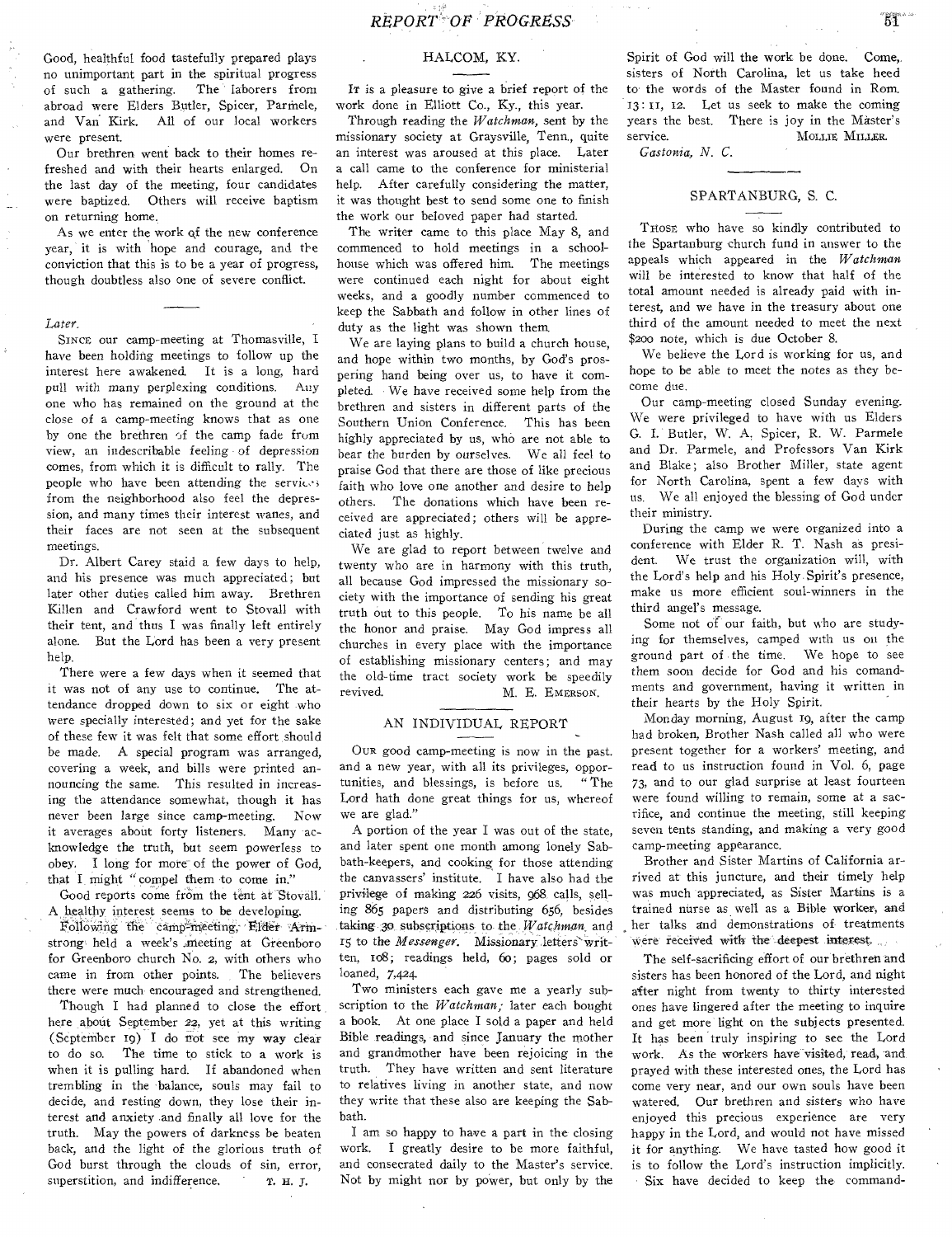Good, healthful food tastefully prepared plays no unimportant part in the spiritual progress of such a gathering. The laborers from abroad were Elders Butler, Spicer, Parmele, and Van Kirk. All of our local workers were present.

Our brethren went back to their homes refreshed and with their hearts enlarged. On the last day of the meeting, four candidates were baptized. Others will receive baptism on returning home.

As we enter the work of the new conference year, it is with hope and courage, and the conviction that this is to be a year of progress, though doubtless also one of severe conflict.

#### *Later,*

SINCE our camp-meeting at Thomasville, I have been holding meetings to follow up the interest here awakened. It is a long, hard pull with many perplexing conditions. Any one who has remained on the ground at the close of a camp-meeting knows that as one by one the brethren of the camp fade from view, an indescribable feeling of depression comes, from which it is difficult to rally. The people who have been attending the service; from the neighborhood also feel the depression, and many times their interest wanes, and their faces are not seen at the subsequent meetings.

Dr. Albert Carey staid a few days to help, and his presence was much appreciated; but later other duties called him away. Brethren Killen and Crawford went to Stovall with their tent, and thus I was finally left entirely alone. But the Lord has been a very present help.

There were a few days when it seemed that it was not of any use to continue. The attendance dropped down to six or eight who were specially interested; and yet for the sake of these few it was felt that some effort should be made. A special program was arranged, covering a week, and bills were printed announcing the same. This resulted in increasing the attendance somewhat, though it has never been large since camp-meeting. *Now*  it averages about forty listeners. Many acknowledge the truth, but seem powerless to obey. I long for more of the power of God, that I might "compel them to come in."

Good reports come from the tent at Stovall. A healthy interest seems to be developing.

Following the camp-meeting, Elder Armstrong held a week's meeting at Greenboro for Greenboro church No. 2, with others who came in from other points. The believers there were much encouraged and strengthened.

Though I had planned to close the effort here about September 22, yet at this writing (September 19) I do not see my way clear to do so. The time to stick to a work is when it is pulling hard. If abandoned when trembling in the balance, souls may fail to decide, and resting down, they lose their interest and anxiety •and finally all love for the truth. May the powers of darkness be beaten back, and the light of the glorious truth of God burst through the clouds of sin, error, superstition, and indifference,  $T. H. J.$ 

#### HALCOM, KY.

IT is a pleasure to give a brief report of the work done in Elliott Co., Ky., this year.

Through reading the *Watchman,* sent by the missionary society at Graysville, Tenn., quite an interest was aroused at this place. Later a call came to the conference for ministerial help. After carefully considering the matter, it was thought best to send some one to finish the work our beloved paper had started.

The writer came to this place May 8, and commenced to hold meetings in a schoolhouse which was offered him. The meetings were continued each night for about eight weeks, and a goodly number commenced to keep the Sabbath and follow in other lines of duty as the light was shown them.

We are laying plans to build a church house, and hope within two months, by God's prospering hand being over us, to have it completed. We have received some help from the brethren and sisters in different parts of the Southern Union Conference. This has been highly appreciated by us, who are not able to bear the burden by ourselves. We all feel to praise God that there are those of like precious faith who love one another and desire to help others. The donations which have been received are appreciated; others will be appreciated just as highly.

We are glad to report between twelve and twenty who are in harmony with this truth, all because God impressed the missionary society with the importance of sending his great truth out to this people. To his name be all the honor and praise. May God impress all churches in every place with the importance of establishing missionary centers; and may the old-time tract society work be speedily revived. M. E. EMERSON.

# AN INDIVIDUAL REPORT

OUR good camp-meeting is now in the past. and a new year, with all its privileges, oppor-<br>tunities, and blessings, is before us. "The tunities, and blessings, is before us. Lord hath done great things for us, whereof we are glad."

A portion of the year I was out of the state, and later spent one month among lonely Sabbath-keepers, and cooking for those attending the canvassers' institute. I have also had the privilege of making 226 visits, 968 calls, selling 865 papers and distributing 656, besides taking 3o subscriptions to the *Watchman* and 15 to the *Messenger.* Missionary letters'written, io8; readings held, 6o; pages sold or loaned, 7,424.

Two ministers each gave me a yearly subscription to the *Watchman;* later each bought a book. At one place I sold a paper and held Bible readings, and since January the mother and grandmother have been rejoicing in the truth. They have written and sent literature to relatives living in another state, and now they write that these also are keeping the Sabbath.

I am so happy to have a part in the closing work. I greatly desire to be more faithful, and consecrated daily to the Master's service. Not by might nor by power, but only by the

Spirit of God will the work be done. Come, sisters of North Carolina, let us take heed to the words of the Master found in Rom. 13: II, 12. Let us seek to make the coming years the best. There is joy in the Master's service. MOLLIE MILLER.

*Gastonia, N. C.* 

#### SPARTANBURG, S. C.

THOSE who have so kindly contributed to the Spartanburg church fund in answer to the appeals which appeared in the *Watchman*  will be interested to know that half of the total amount needed is already paid with interest, and we have in the treasury about one third of the amount needed to meet the next \$200 note, which is due October 8.

We believe the Lord is working for us, and hope to be able to meet the notes as they become due.

Our camp-meeting closed Sunday evening. We were privileged to have with us Elders G. I. Butler, W. A. Spicer, R. W. Parmele and Dr. Parmele, and Professors Van Kirk and Blake; also Brother Miller, state agent for North Carolina, spent a few days with us. We all enjoyed the blessing of God under their ministry.

During the camp we were organized into a conference with Elder R. T. Nash as president. We trust the organization will, with the Lord's help and his Holy Spirit's presence, make us more efficient soul-winners in the third angel's message.

Some not of our faith, but who are studying for themselves, camped with us on the ground part of the time. We hope to see them soon decide for God and his comandrnents and government, having it written in their hearts by the Holy Spirit.

Monday morning, August 19, after the camp had broken, Brother Nash called all who were present together for a workers' meeting, and read to us instruction found in Vol. 6, page 73, and to our glad surprise at least fourteen were found willing to remain, some at a sacrifice, and continue the meeting, still keeping seven tents standing, and making a very good camp-meeting appearance.

Brother and Sister Martins of California arrived at this juncture, and their timely help was much appreciated, as Sister Martins is a trained nurse as well as a Bible worker, and her talks and demonstrations of- treatments were received with the deepest interest,

The self-sacrificing effort of our brethren and sisters has been honored of the Lord, and night after night from twenty to thirty interested ones have lingered after the meeting to inquire and get more light on the subjects presented. It has been truly inspiring to see the Lord work. As the workers have visited, read, and prayed with these interested ones, the Lord has come very near, and our own souls have been watered. Our brethren and sisters who have enjoyed this precious experience are very happy in the Lord, and would not have missed it for anything. We have tasted how good it is to follow the Lord's instruction implicitly. Six have decided to keep the command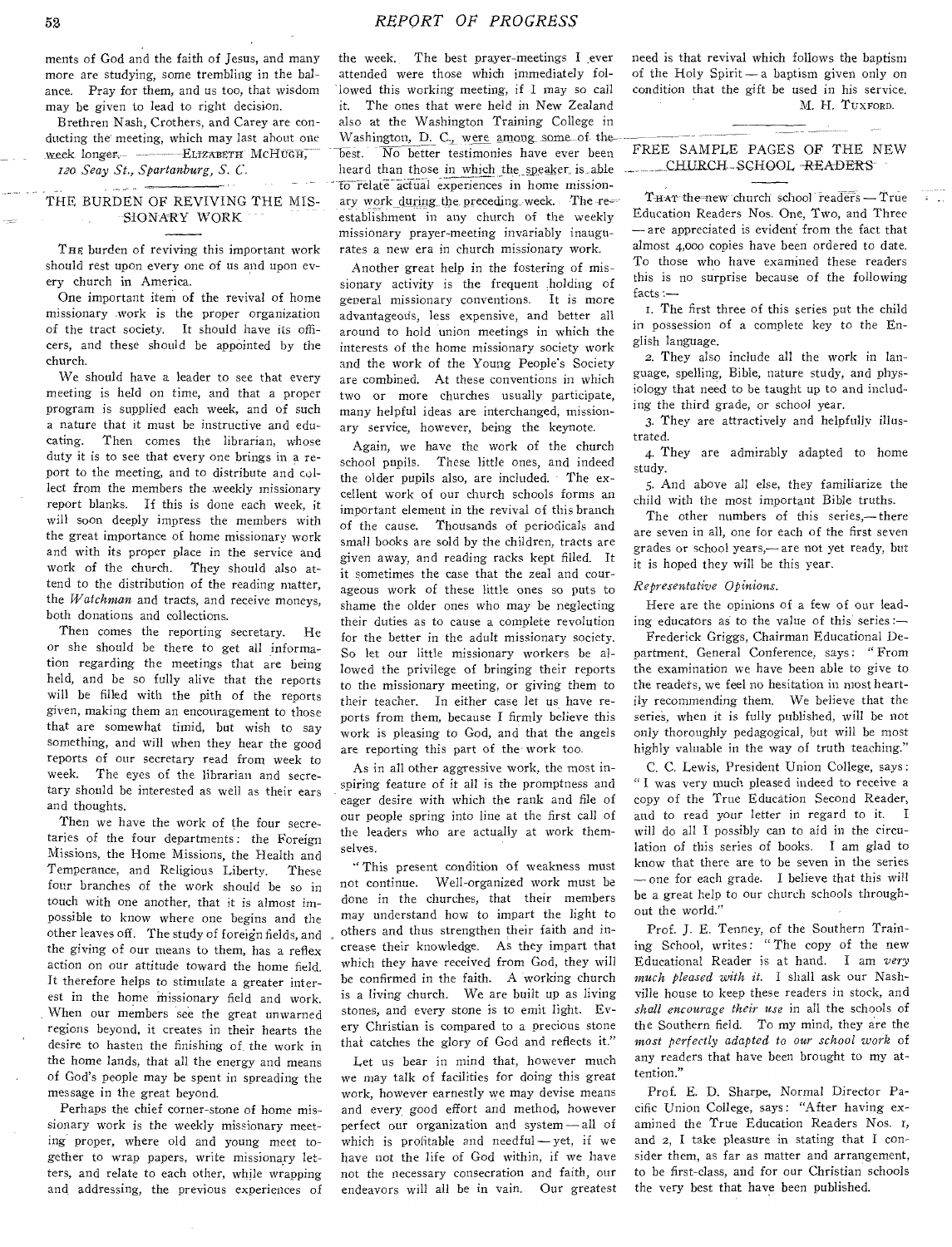ments of God and the faith of Jesus, and many more are studying, some trembling in the balance. Pray for them, and us too, that wisdom may be given to lead to right decision.

Brethren Nash, Crothers, and Carey are conducting the meeting, which may last about one week longer. - - ELIZABETH MCHUGH,

*120 Seay St., Spartanburg, S. C.* 

#### THE BURDEN OF REVIVING THE MIS-SIONARY WORK

THE burden of reviving this important work should rest upon every one of us and upon every church in America.

One important item of the revival of home missionary work is the proper organization of the tract society. It should have its officers, and these should be appointed by the church.

We should have a leader to see that every meeting is held on time, and that a proper program is supplied each week, and of such a nature that it must be instructive and educating. Then comes the librarian, whose duty it is to see that every one brings in a report to the meeting, and to distribute and collect from the members the weekly missionary report blanks. If this is done each week, it will soon deeply impress the members with the great importance of home missionary work and with its proper place in the service and work of the church. They should also attend to the distribution of the reading matter, the *Watchman* and tracts, and receive moneys, both donations and collections.

Then comes the reporting secretary. He or she should be there to get all information regarding the meetings that are being held, and be so fully alive that the reports will be filled with the pith of the reports given, making them an encouragement to those that are somewhat timid, but wish to say something, and will when they hear the good reports of our secretary read from week to week. The eyes of the librarian and secretary should be interested as well as their ears and thoughts.

Then we have the work of the four secretaries of the four departments : the Foreign Missions, the Home Missions, the Health and Temperance, and Religious Liberty. These four branches of the work should be so in touch with one another, that it is almost impossible to know where one begins and the other leaves off. The study of foreign fields, and the giving of our means to them, has a reflex action on our attitude toward the home field. It therefore helps to stimulate a greater interest in the home missionary field and work. When our members see the great unwarned regions beyond, it creates in their hearts the desire to hasten the finishing of the work in the home lands, that all the energy and means of God's people may be spent in spreading the message in the great beyond.

Perhaps the chief corner-stone of home missionary work is the weekly missionary meeting proper, where old and young meet together to wrap papers, write missionary letters, and relate to each other, while wrapping and, addressing, the previous experiences of the week. The best prayer-meetings I ever attended were those which immediately followed this working meeting, if I may so call it. The ones that were held in New Zealand also at the Washington Training College in Washington, D. C., were among some of thebest. No better testimonies have ever been heard than those in which the speaker is able to relate actual experiences in home missionary work during the preceding week. The re= establishment in any church of the weekly missionary prayer-meeting invariably inaugurates a new era in church missionary work.

Another great help in the fostering of missionary activity is the frequent holding of general missionary conventions. It is more advantageods, less expensive, and better all around to hold union meetings in which the interests of the home missionary society work and the work of the Young People's Society are combined. At these conventions in which two or more churches usually participate, many helpful ideas are interchanged, missionary service, however, being the keynote.

Again, we have the work of the church school pupils. These little ones, and indeed the older pupils also, are included. The excellent work of our church schools forms an important element in the revival of this branch of the cause. Thousands of periodicals and small books are sold by the children, tracts are given away, and reading racks kept filled. It it sometimes the case that the zeal and courageous work of these little ones so puts to shame the older ones who may be neglecting their duties as to cause a complete revolution for the better in the adult missionary society. So let our little missionary workers be allowed the privilege of bringing their reports to the missionary meeting, or giving them to their teacher. In either case let us have reports from them, because I firmly believe this work is pleasing to God, and that the angels are reporting this part of the work too.

As in all other aggressive work, the most inspiring feature of it all is the promptness and eager desire with which the rank and file of our people spring into line at the first call of the leaders who are actually at work themselves.

" This present condition of weakness must not continue. Well-organized work must be done in the churches, that their members may understand how to impart the light to others and thus strengthen their faith and increase their knowledge. As they impart that which they have received from God, they will be confirmed in the faith. A working church is a living church. We are built up as living stones, and every stone is to emit light. Every Christian is compared to a precious stone that catches the glory of God and reflects it."

Let us bear in mind that, however much we may talk of facilities for doing this great work, however earnestly we may devise means and every, good effort and method, however perfect our organization and system-all of which is profitable and needful — yet, if we have not the life of God within, if we have not the necessary consecration and faith, our endeavors will all be in vain. Our greatest need is that revival which follows the baptism of the Holy Spirit — a baptism given only on condition that the gift be used in his service. M. H. TUXFORD.

## FREE SAMPLE PAGES OF THE NEW \_\_CHURCH— *S* CH OOL \_READERS

THAT the new church school readers - True Education Readers Nos. One, Two, and Three — are appreciated is evident from the fact that almost 4,00o copies have been ordered to date. To those who have examined these readers this is no surprise because of the following facts :—

I. The first three of this series put the child in possession of a complete key to the English language.

2. They also include all the work in language, spelling, Bible, nature study, and physiology that need to be taught up to and including the third grade, or school year.

3. They are attractively and helpfully illustrated.

4. They are admirably adapted to home study.

5. And above all else, they familiarize the child with the most important Bible truths.

The other numbers of this series,-there are seven in all, one for each of the first seven grades or school years,— are not yet ready, but it is hoped they will be this year.

#### *Representative Opinions.*

Here are the opinions of a few of our leading educators as to the value of this series :—

Frederick Griggs, Chairman Educational Department, General Conference, says: "From the examination we have been able to give to the readers, we feel no hesitation in most heartily recommending them. We believe that the series, when it is fully published, will be not only thoroughly pedagogical, but will be most highly valuable in the way of truth teaching."

C. C. Lewis, President Union College, says : "I was very much pleased indeed to receive a copy of the True Education Second Reader, and to read your letter in regard to it. I will do all I possibly can to aid in the circulation of this series of books. I am glad to know that there are to be seven in the series — one for each grade. I believe that this will be a great help to our church schools throughout the world."

Prof. J. E. Tenney, of the Southern Training School, writes: "The copy of the new Educational Reader is at hand. I am *very much pleased with it.* I shall ask our Nashville house to keep these readers in stock, and *shall encourage their use* in all the schools of the Southern field. To my mind, they are the *most perfectly adapted to our school work* of any readers that have been brought to my attention."

Prof. E. D. Sharpe, Normal Director Pacific Union College, says: "After having examined the True Education Readers Nos. 1, and 2, I take pleasure in stating that I consider them, as far as matter and arrangement, to be first-class, and for our Christian schools the very best that have been published.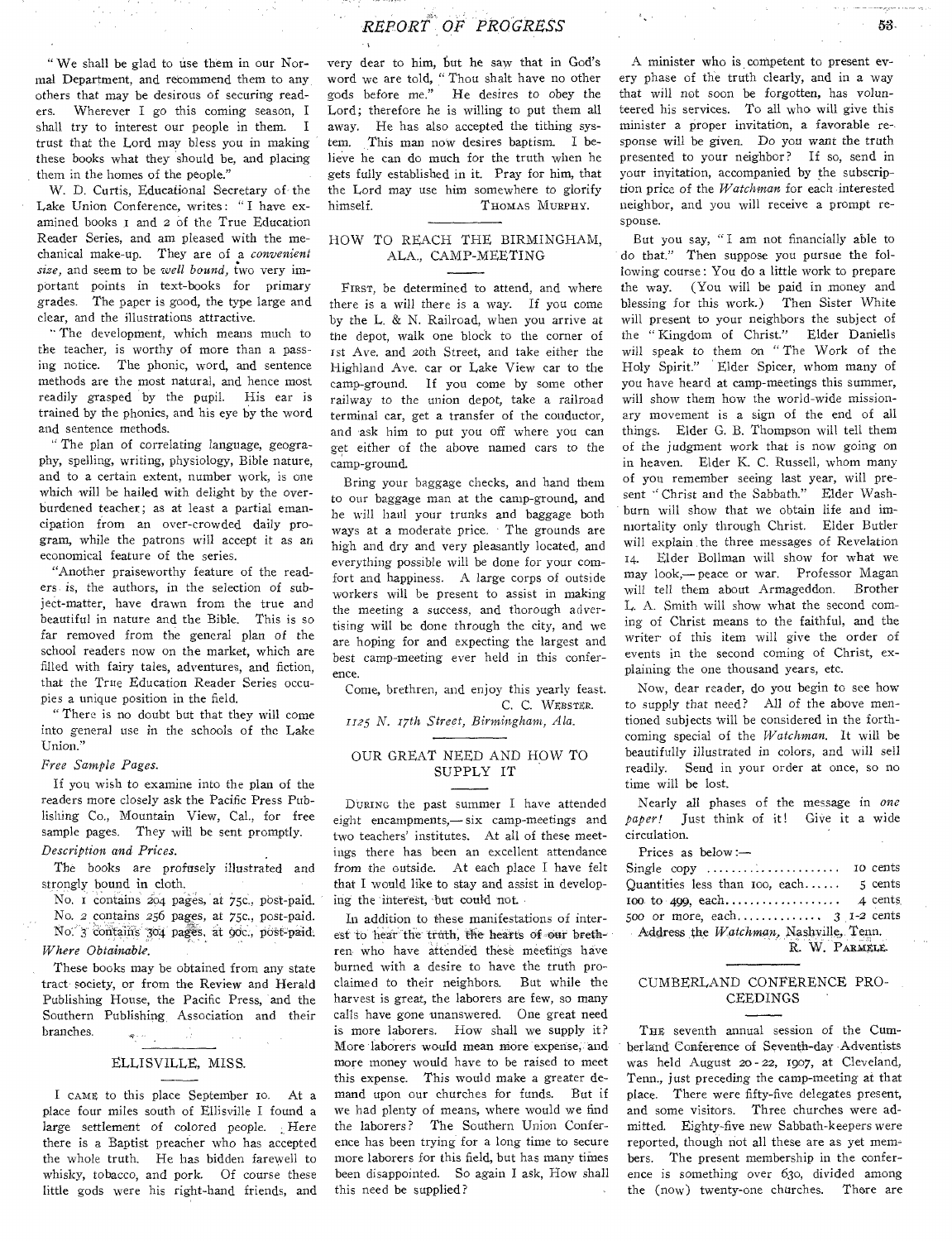" We shall be glad to use them in our Normal Department, and recommend them to any others that may be desirous of securing readers. Wherever I go this coming season, I shall try to interest our people in them. I trust that the Lord may bless you in making these books what they should be, and placing them in the homes of the people."

W. D. Curtis, Educational Secretary of the Lake Union Conference, writes: "I have examined books I and 2 of the True Education Reader Series, and am pleased with the mechanical make-up. They are of a *convenient size,* and seem to be *well bound,* two very important points in text-books for primary grades. The paper is good, the type large and clear, and the illustrations attractive.

" The development, which means much to the teacher, is worthy of more than a passing notice. The phonic, word, and sentence methods are the most natural, and hence most readily grasped by the pupil. His ear is trained by the phonics, and his eye by the word and sentence methods.

" The plan of correlating language, geography, spelling, writing, physiology, Bible nature, and to a certain extent, number work, is one which will be hailed with delight by the overburdened teacher; as at least a partial emancipation from an over-crowded daily program, while the patrons will accept it as an economical feature of the series.

"Another praiseworthy feature of the readers is, the authors, in the selection of subject-matter, have drawn from the true and beautiful in nature and the Bible. This is so far removed from the general plan of the school readers now on the market, which are filled with fairy tales, adventures, and fiction, that the True Education Reader Series occupies a unique position in the field.

" There is no doubt but that they will come into general use in the schools of the Lake Union."

#### *Free Sample Pages.*

If you wish to examine into the plan of the readers more closely ask the Pacific Press Publishing Co., Mountain View, Cal., for free sample pages. They will be sent promptly. *Description and Prices.* 

The books are profusely illustrated and strongly bound in cloth.

No. I contains 204 pages, at 75c., post-paid. No. 2 contains 256 pages, at 75c., post-paid. No. 3 contains 304 pages, at 90c., post-paid. *Where Obtainable.* 

These books may be obtained from any state tract society, or from the Review and Herald Publishing House, the Pacific Press, and the Southern Publishing Association and their branches.

## ELLISVILLE, MISS.

I CAME to this place September 10. At a place four miles south of Ellisville I found a large settlement of colored people. Here there is a Baptist preacher who has accepted the whole truth. He has bidden farewell to whisky, tobacco, and pork. Of course these little gods were his right-hand friends, and

very dear to him, but he saw that in God's word we are told, " Thou shalt have no other gods before me." He desires to obey the Lord; therefore he is willing to put them all away. He has also accepted the tithing system. This man now desires baptism. I believe he can do much for the truth when he gets fully established in it. Pray for him, that the Lord may use him somewhere to glorify himself. THOMAS MURPHY.

#### HOW TO REACH THE BIRMINGHAM, ALA., CAMP-MEETING

FIRST, be determined to attend, and where there is a will there is a way. If you come by the L. & N. Railroad, when you arrive at the depot, walk one block to the corner of 1st Ave. and 20th Street, and take either the Highland Ave. car or Lake View car to the camp-ground. If you come by some other railway to the union depot, take a railroad terminal car, get a transfer of the conductor, and ask him to put you off where you can get either of the above named cars to the camp-ground.

Bring your baggage checks, and hand them to our baggage man at the camp-ground, and he will haul your trunks and baggage both ways at a moderate price. The grounds are high and dry and very pleasantly located, and everything possible will be done for your comfort and happiness. A large corps of outside workers will be present to assist in making the meeting a success, and thorough advertising will be done through the city, and we are hoping for and expecting the largest and best camp-meeting ever held in this conference.

Come, brethren, and enjoy this yearly feast. C. C. WEBSTER.

*1125 N. 17th Street, Birmingham, Ala.* 

#### OUR GREAT NEED AND HOW TO SUPPLY IT

DURING the past summer I have attended eight encampments,— six camp-meetings and two teachers' institutes. At all of these meetings there has been an excellent attendance from the outside. At each place I have felt that I would like to stay and assist in developing the interest, but could not.

In addition to these manifestations of interest to hear'the truth, the hearts of oar brethren who have attended these meetings haVe burned with a desire to have the truth proclaimed to their neighbors. But while the harvest is great, the laborers are few, so many calls have gone unanswered. One great need is more laborers. How shall we supply it? More laborers would mean More expense, and more money would have to be raised to meet this expense. This would make a greater demand upon our churches for funds. But if we had plenty of means, where would we find the laborers? The Southern Union Conference has been trying for a long time to secure more laborers for this field, but has many times been disappointed. So again I ask, How shall this need be supplied?

A minister who is competent to present every phase of the truth clearly, and in a way that will not soon be forgotten, has volunteered his services. To all who will give this minister a proper invitation, a favorable response will be given. Do you want the truth presented to your neighbor? If so, send in your invitation, accompanied by the subscription price of the *Watchman* for each interested neighbor, and you will receive a prompt response.

But you say, "I am not financially able to do that." Then suppose you pursue the following course : You do a little work to prepare the way. (You will be paid in money and blessing for this work.) Then Sister White will present to your neighbors the subject of the " Kingdom of Christ." Elder Daniells will speak to them on " The Work of the Holy Spirit." Elder Spicer, whom many of you have heard at camp-meetings this summer, will show them how the world-wide missionary movement is a sign of the end of all things. Elder G. B. Thompson will tell them of the judgment work that is now going on in heaven. Elder K. C. Russell, whom many of you remember seeing last year, will present " Christ and the Sabbath." Elder Washburn will show that we obtain life and immortality only through Christ. Elder Butler will explain the three messages of Revelation 54. Elder Bollman will show for what we may look,— peace or war. Professor Magan will tell them about Armageddon. Brother L. A. Smith will show what the second coming of Christ means to the faithful, and the writer' of this item will give the order of events in the second coming of Christ, explaining the one thousand years, etc.

Now, dear reader, do you begin to see how to supply that need? All of the above mentioned subjects will be considered in the forthcoming special of the *Watchman.* It will be beautifully illustrated in colors, and will sell readily. Send in your order at once, so no time will be lost.

Nearly all phases of the message in *one paper!* Just think of it! Give it a wide circulation.

Prices as below :—

| Single copy $\dots\dots\dots\dots\dots\dots\dots$ | 10 cents |  |  |  |  |
|---------------------------------------------------|----------|--|--|--|--|
| Quantities less than $\text{roo}$ , each          | 5 cents  |  |  |  |  |
|                                                   |          |  |  |  |  |
|                                                   |          |  |  |  |  |
| Address the Watchman, Nashville, Tenn.            |          |  |  |  |  |
| R. W. PARMELE.                                    |          |  |  |  |  |

#### CUMBERLAND CONFERENCE PRO-CEEDINGS

THE seventh annual session of the Cumberland Conference of Seventh-day Adventists was held August 20- 22, 1907, at Cleveland, Tenn., just preceding the camp-meeting at that place. There were fifty-five delegates present, and some visitors. Three churches were admitted. Eighty-five new Sabbath-keepers were reported, though not all these are as yet members. The present membership in the conference is something over 63o, divided among the (now) twenty-one churches. There are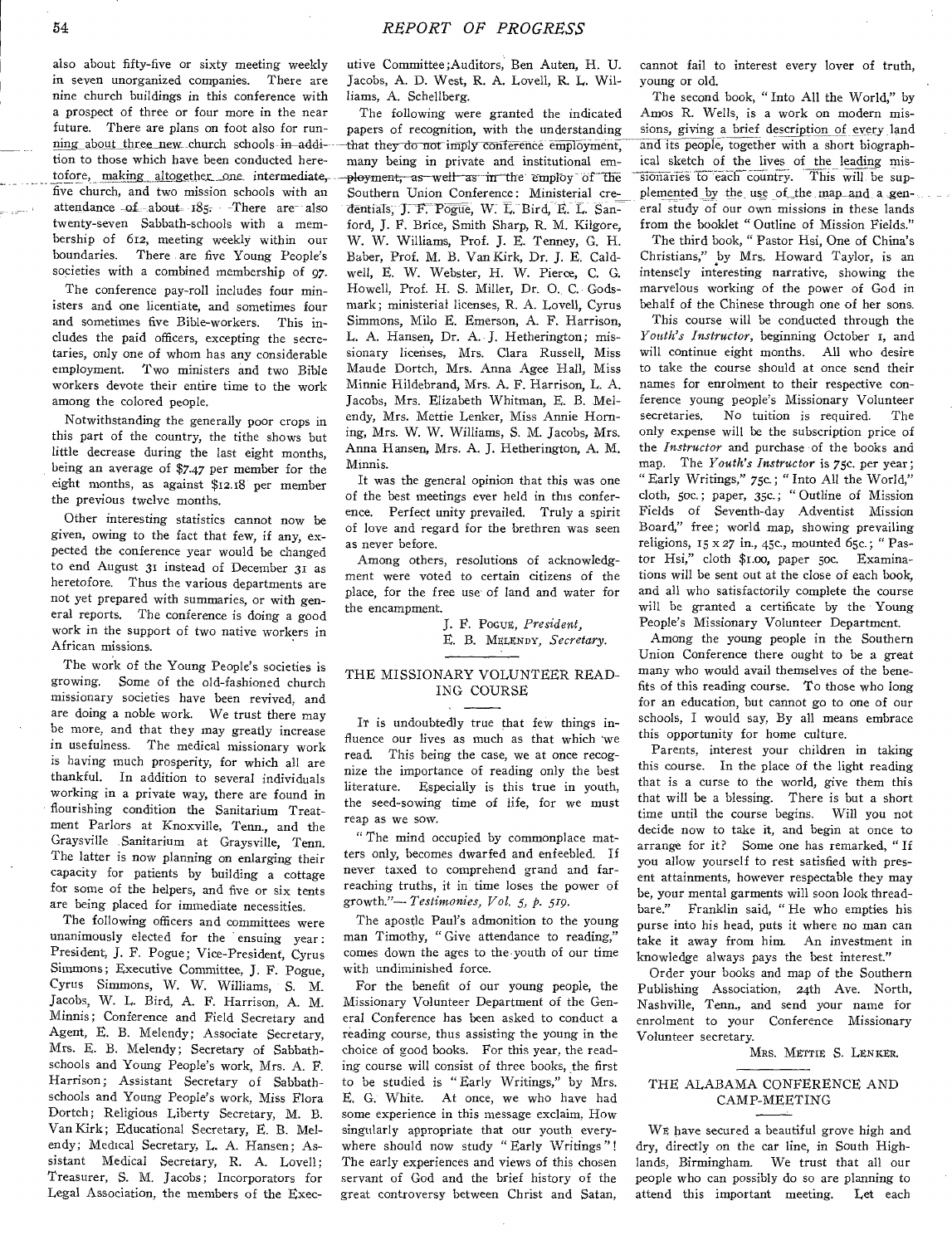also about fifty-five or sixty meeting weekly in seven unorganized companies. There are nine church buildings in this conference with a prospect of three or four more in the near future. There are plans on foot also for run*ning about three new church schools in addi*tion to those which have been conducted heretofore, making altogether one intermediate, five church, and two mission schools with an attendance  $of$  about  $185 -$  There are also twenty-seven Sabbath-schools with a membership of 612, meeting weekly within our boundaries. There are five Young People's societies with a combined membership of 97.

The conference pay-roll includes four ministers and one licentiate, and sometimes four and sometimes five Bible-workers. This includes the paid officers, excepting the secretaries, only one of whom has any considerable employment. Two ministers and two Bible workers devote their entire time to the work among the colored people.

Notwithstanding the generally poor crops in this part of the country, the tithe shows but little decrease during the last eight months, being an average of \$7.47 per member for the eight months, as against \$12.18 per member the previous twelve months.

Other interesting statistics cannot now be given, owing to the fact that few, if any, expected the conference year would be changed to end August 31 instead of December 31 as heretofore. Thus the various departments are not yet prepared with summaries, or with general reports. The conference is doing a good work in the support of two native workers in African missions.

The work of the Young People's societies is growing. Some of the old-fashioned church missionary societies have been revived, and are doing a noble work. We trust there may be more, and that they may greatly increase in usefulness. The medical missionary work is having much prosperity, for which all are thankful. In addition to several individuals working in a private way, there are found in flourishing condition the Sanitarium Treatment Parlors at Knoxville, Tenn., and the Graysville Sanitarium at Graysville, Tenn. The latter is now planning on enlarging their capacity for patients by building a cottage for some of the helpers, and five or six tents are being placed for immediate necessities.

The following officers and committees were unanimously elected for the ensuing year: President, J. F. Pogue; Vice-President, Cyrus Simmons; Executive Committee, J. F. Pogue, Cyrus Simmons, W. W. Williams, S. M. Jacobs, W. L. Bird, A. F. Harrison, A. M. Minnis; Conference and Field Secretary and Agent, E. B. Melendy; Associate Secretary, Mrs. E. B. Melendy; Secretary of Sabbathschools and Young People's work, Mrs. A. F. Harrison; Assistant Secretary of Sabbathschools and Young People's work, Miss Flora Dortch; Religious Liberty Secretary, M. B. Van Kirk; Educational Secretary, E. B. Melendy; Medical Secretary, L. A. Hansen; Assistant Medical Secretary, R. A. Lovell; Treasurer, S. M. Jacobs; Incorporators for Legal Association, the members of the Executive Committee ;Auditors, Ben Auten, H. U. Jacobs, A. D. West, R. A. Lovell, R. L. Williams, A. Schellberg.

The following were granted the indicated papers of recognition, with the understanding that they do not imply conference employment, many being in private and institutional employment, as well as in the employ of the Southern Union Conference: Ministerial cre dentials, J. F. Pogue, W. E. Bird, E. L. Sanford, J. F. Brice, Smith Sharp, R. M. Kilgore, W. W. Williams, Prof. J. E. Tenney, G. H. Baber, Prof. M. B. Van Kirk, Dr. J. E. Caldwell, E. W. Webster, H. W. Pierce, C. G. Howell, Prof. H. *S.* Miller, Dr. 0. C. Godsmark; ministerial licenses, R. A. Lovell, Cyrus Simmons, Milo E. Emerson, A. F. Harrison, L. A. Hansen, Dr. A. J. Hetherington; missionary licenses, Mrs. Clara Russell, Miss Maude Dortch, Mrs. Anna Agee Hall, Miss Minnie Hildebrand, Mrs. A. F. Harrison, L. A. Jacobs, Mrs. Elizabeth Whitman, E. B. Melendy, Mrs. Mettie Lenker, Miss Annie Horning, Mrs. W. W. Williams, *S.* M. Jacobs, Mrs. Anna Hansen, Mrs. A. J. Hetherington, A. M. Minnis.

It was the general opinion that this was one of the best meetings ever held in this conference. Perfect unity prevailed. Truly a spirit of love and regard for the brethren was seen as never before.

Among others, resolutions of acknowledgment were voted to certain citizens of the place, for the free use of land and water for the encampment.

> J. F. Pocug, *President,*  E. B. MELENDY, *Secretary*.

# THE MISSIONARY VOLUNTEER READ-ING COURSE

It is undoubtedly true that few things influence our lives as much as that which we read. This being the case, we at once recognize the importance of reading only the best literature. Especially is this true in youth, the seed-sowing time of life, for we must reap as we sow.

" The mind occupied by commonplace matters only, becomes dwarfed and enfeebled. If never taxed to comprehend grand and farreaching truths, it in time loses the power of growth."-- *Testimonies, Vol. 5, p. 519.* 

The apostle Paul's admonition to the young man Timothy, "Give attendance to reading," comes down the ages to the youth of our time with undiminished force.

For the benefit of our young people, the Missionary Volunteer Department of the General Conference has been asked to conduct a reading course, thus assisting the young in the choice of good books. For this year, the reading course will consist of three books, the first to be studied is " Early Writings," by Mrs. E. G. White. At once, we who have had some experience in this message exclaim, How singularly appropriate that our youth everywhere should now study " Early Writings "! The early experiences and views of this chosen servant of God and the brief history of the great controversy between Christ and Satan,

cannot fail to interest every lover of truth, young or old.

The second book, " Into All the World," by Amos R. Wells, is a work on modern missions, giving a brief description of every land and its people, together with a short biographical sketch of the lives of the leading missionaries to each country. This will be supplemented\_hy the use of\_ the map\_and a general study of our own missions in these lands from the booklet " Outline of Mission Fields."

The third book, " Pastor Hsi, One of China's Christians," by Mrs. Howard Taylor, is an intensely interesting narrative, showing the marvelous working of the power of God in behalf of the Chinese through one of her sons.

This course will be conducted through the *Youth's Instructor,* beginning October 1, and will continue eight months. All who desire to take the course should at once send their names for enrolment to their respective conference young people's Missionary Volunteer secretaries. No tuition is required. The only expense will be the subscription price of the *Instructor* and purchase of the books and map. The *Youth's Instructor* is 75c. per year ; " Early Writings," 75c.; " Into All the World," cloth, 5oc.; paper, 35c.; " Outline of Mission Fields of Seventh-day Adventist Mission Board," free; world map, showing prevailing religions, 15 x 27 in., 45c., mounted 65c.; " Pastor Hsi," cloth \$1.00, paper soc. Examinations will be sent out at the close of each book, and all who satisfactorily complete the course will be granted a certificate by the Young People's Missionary Volunteer Department.

Among the young people in the Southern Union Conference there ought to be a great many who would avail themselves of the benefits of this reading course. To those who long for an education, but cannot go to one of our schools, I would say, By all means embrace this opportunity for home culture.

Parents, interest your children in taking this course. In the place of the light reading that is a curse to the world, give them this that will be a blessing. There is but a short time until the course begins. Will you not decide now to take it, and begin at once to arrange for it? Some one has remarked, " If you allow yourself to rest satisfied with present attainments, however respectable they may be, your mental garments will soon look threadbare." Franklin said, " He who empties his purse into his head, puts it where no man can take it away from him. An investment in knowledge always pays the best interest."

Order your books and map of the Southern Publishing Association, 24th Ave. North, Nashville, Tenn., and send your name for enrolment to your Conference Missionary Volunteer secretary.

Mrs. METTIE S. LENKER.

#### THE ALABAMA CONFERENCE AND CAMP-MEETING

WE have secured a beautiful grove high and dry, directly on the car line, in South Highlands, Birmingham. We trust that all our people who can possibly do so are planning to attend this important meeting. Let each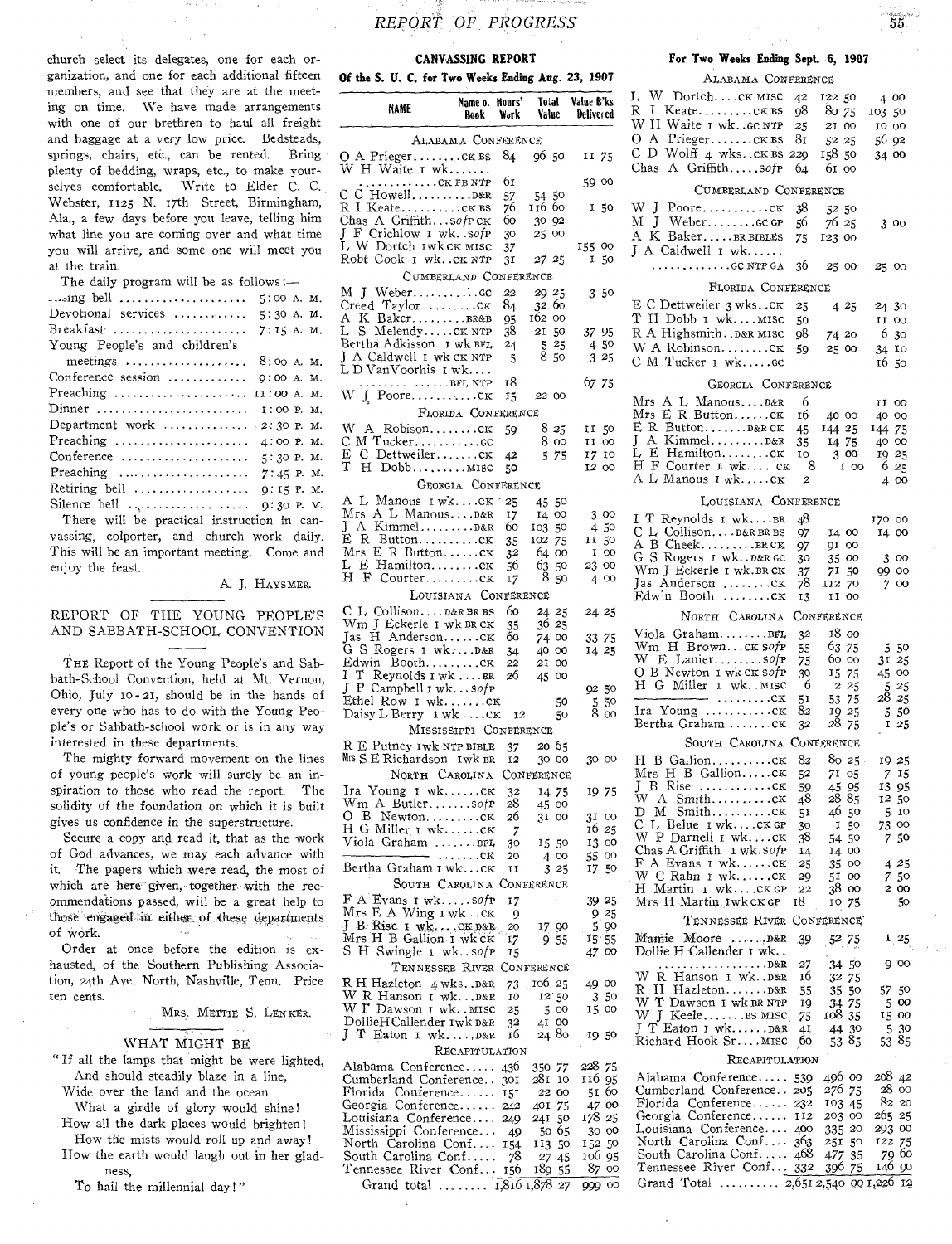church select its delegates, one for each organization, and one for each additional fifteen members, and see that they are at the meeting on time. We have made arrangements with one of our brethren to haul all freight and baggage at a very low price. Bedsteads, springs, chairs, etc., can be rented. Bring plenty of bedding, wraps, etc., to make yourselves comfortable. Write to Elder C. C. Webster, 1125 N. 17th Street, Birmingham, Ala., a few days before you leave, telling him what line you are coming over and what time you will arrive, and some one will meet you at the train.

The daily program will be as follows :-

vassing, colporter, and church work daily. This will be an important meeting. Come and enjoy the feast.

#### A. J. HAYSMER.

REPORT OF THE YOUNG PEOPLE'S AND SABBATH-SCHOOL CONVENTION

THE Report of the Young People's and Sabbath-School Convention, held at Mt. Vernon, Ohio, July 10 - 21, should be in the hands of every one who has to do with the Young People's or Sabbath-school work or is in any way interested in these departments.

The mighty forward movement on the lines of young people's work will surely be an inspiration to those who read the report. The solidity of the foundation on which it is built gives us confidence in the superstructure.

Secure a copy and read it, that as the work of God advances, we may each advance with it. The papers which were read, the most of which are here given, together with the recommendations passed, will be a great help to those engaged in either of these departments of work.

Order at once before the edition is exhausted, of the Southern Publishing Association, 24th Ave. North, Nashville, Tenn. Price ten cents.

MRS. METTIE S. LENKER.

#### WHAT MIGHT BE

- "If all the lamps that might be were lighted, And should steadily blaze in a line, Wide over the land and the ocean
	- What a girdle of glory would shine!
- How all the dark places would brighten! How the mists would roll up and away!
- How the earth would laugh out in her gladness,
	- To hail the millennial day!"

# *REPORT OF PROGRESS*

#### **CANVASSING REPORT**

**Of the S. U. C. for Two Weeks Ending Aug. 23, 1907** 

| NAME                                                             | Name o. Hours'<br>Book | Work           | Total<br>Value                                           | Value B'ks<br>Deliver ed      |
|------------------------------------------------------------------|------------------------|----------------|----------------------------------------------------------|-------------------------------|
| ALABAMA CONFERENCE                                               |                        |                |                                                          |                               |
| O A PriegerCKBS                                                  |                        | 84             | 96 50                                                    | 11 75                         |
| W H Waite I wk                                                   |                        |                |                                                          |                               |
| $\ldots \ldots \ldots$ CK FB NTP<br>$\rm c\;c$<br>$Howell$ $B&R$ |                        | бI<br>57       | 54550                                                    | 59 00                         |
| $R$ I Keate $CK$ BS                                              |                        | 76             | 116 60                                                   | 150                           |
| Chas A Griffithsofp CK                                           |                        | 60             | 30 92                                                    |                               |
| J<br>F Crichlow I wk. . sofP<br>L W Dortch 1wkck misc            |                        | 30             | 25 00                                                    |                               |
| Robt Cook I wk. . CK NTP                                         |                        | 37<br>31       | 27 25                                                    | 155 00<br>50<br>1             |
| CUMBERLAND CONFERENCE                                            |                        |                |                                                          |                               |
| M J Webercc                                                      |                        | 22             | 20 25                                                    | 350                           |
| Creed Taylor ck                                                  |                        | 84             | 32 60                                                    |                               |
| A K BakerBR&B<br>L S MelendyCK NTP                               |                        | 95<br>38       | 162 00<br>21<br>50                                       | 3795                          |
| Bertha Adkisson I wk BFL                                         |                        | 24             | $\begin{smallmatrix} 5 & 25 \\ 8 & 50 \end{smallmatrix}$ | 4 50                          |
| J A Caldwell 1 wk.ck NTP                                         |                        | 5              |                                                          | 3 25                          |
| LDVanVoorhis I wk<br>$\ldots \ldots \ldots$ . BFI, NTP           |                        | 18             |                                                          | 67 75                         |
| W J Pooreck                                                      |                        | 15             | 22 00                                                    |                               |
| FLORIDA CONFERENCE                                               |                        |                |                                                          |                               |
| W A RobisonCK                                                    |                        | 59             | 8 25                                                     | II 50                         |
| C M Tuckercc<br>E C Dettweilerck                                 |                        |                | 8 00                                                     | 11.00                         |
| т<br>H Dobb MISC                                                 |                        | 42<br>50       | 575                                                      | 17 10<br>12 00                |
| <b>GEORGIA CONFERENCE</b>                                        |                        |                |                                                          |                               |
| A L Manous 1 wkcĸ                                                |                        | 25             | 45 50                                                    |                               |
| Mrs A L ManousD&R                                                |                        | 17             | 14 00                                                    | 3 00                          |
| J                                                                |                        | 60             | 103<br>50                                                | 450                           |
| E R Buttoncx<br>Mrs E R Buttonck                                 |                        | 35<br>32       | 102<br>75<br>64 00                                       | п<br>50<br>I 00               |
| L E Hamiltonck                                                   |                        | 56             | 63<br>50                                                 | 23 00                         |
| $Counter$ $c$ $K$<br>H<br>F                                      |                        | 17             | 8<br>50                                                  | 4 00                          |
| LOUISIANA CONFERENCE                                             |                        |                |                                                          |                               |
| C L CollisonD&R BR BS                                            |                        | 60<br>35       | 24 25<br>36 25                                           | 24 25                         |
| Wm J Eckerle 1 wk BR CK<br>Jas H AndersonCK                      |                        | 60             | 74 00                                                    | 33 75                         |
| G S Rogers I wkD&R                                               |                        | 34             | 40 00                                                    | 14 25                         |
| Edwin BoothCK<br>I.<br>$T$ Reynolds $1 \le k \ldots BR$          |                        | 22<br>26       | 21 00<br>45 00                                           |                               |
| J P Campbell I wk. sofp                                          |                        |                |                                                          | 9250                          |
| Ethel Row I wkcx                                                 |                        |                | 50                                                       | $\frac{5}{8}$ $\frac{50}{00}$ |
| Daisy L Berry 1 wk CK<br>MISSISSIPPI CONFERENCE                  |                        | 12             | 50                                                       |                               |
| R E Putney Iwk NTP BIBLE                                         |                        | 37             | 20 65                                                    |                               |
| Mrs S.E. Richardson Iwk BR                                       |                        | 12             | 30 00                                                    | 30 00                         |
| NORTH CAROLINA                                                   |                        |                | CONFERENCE                                               |                               |
| Ira Young 1 wkCK                                                 |                        | 32             | 14 75                                                    | 19 75                         |
| $Wm$ A Butlersofp<br>O B Newtonck                                |                        | 28<br>26       | 45 00                                                    |                               |
| H G Miller 1 wkck                                                |                        | $\overline{7}$ | 31 00                                                    | 31<br>$\infty$<br>16 25       |
| Viola Graham BFL                                                 |                        | 30             | 15 50                                                    | 13 00                         |
| Bertha Graham 1 wkcx                                             | . CK                   | 20<br>īΙ       | 4 00                                                     | 55<br>oo<br>17                |
| SOUTH CAROLINA                                                   |                        |                | 325<br>CONFERENCE                                        | 50                            |
| F A Evans 1 wksofp                                               |                        | 17             |                                                          | 39 25                         |
| Mrs E A Wing 1 wk ck                                             |                        | 9              |                                                          | 925                           |
| J B Rise 1 wkCK D&R                                              |                        | 20             | 17.90                                                    | 5<br>90                       |
| Mrs H B Gallion I wk CK<br>S H Swingle 1 wksofp                  |                        | 17<br>15       | 955                                                      | 15 55<br>4700                 |
| TENNESSEE RIVER                                                  |                        |                | CONFERENCE                                               |                               |
| R H Hazleton 4 wksD&R                                            |                        | 73             | 106 25                                                   | 49 00                         |
| W R Hanson 1 wkD&R                                               |                        | 10             | 12 50                                                    | 50<br>3                       |
| W $\Gamma$ Dawson I wk. . MISC<br>DollieH Callender Iwk D&R      |                        | 25<br>32       | 5 00<br>41 00                                            | 15 00                         |
| JТ<br>Eaton I wkD&R                                              |                        | 16             | 24 80                                                    | 1950                          |
|                                                                  | RECAPITULATION         |                |                                                          |                               |
| Alabama Conference                                               |                        | 436            | 350 77                                                   | 228 75                        |
| Cumberland Conference<br>Florida Conference                      |                        | 301            | 28 I<br>10<br>22 00                                      | 116 95<br>51.<br>60           |
| Georgia Conference                                               |                        | 151<br>2.12    | 401 75                                                   | 47 00                         |
| Louisiana Conference                                             |                        | 249            | 50<br>241                                                | 178 25                        |
| Mississippi Conference<br>North Carolina Conf                    |                        | -49            | 50 65                                                    | 30 00                         |
| South Carolina Conf                                              |                        | 154<br>78      | 113<br>50<br>27<br>45                                    | 152 50<br>106 95              |
| Tennessee River Conf                                             |                        | 156            | 189<br>-55                                               | 87<br>oo                      |
| Grand total $\dots\dots$                                         |                        | 1,816 1,878    | 27                                                       | 999 00                        |

#### **For Two Weeks Ending Sept. 6, 1907**

ALABAMA CONFERENCE

*56* 

| ue B'ks<br>eliver ed                                     | L W DortchCK MISC<br>R.<br>I.<br>KeateCKBS<br>WH Waite 1 wkGC NTP | 42<br>98<br>25 | 122 50<br>80 75<br>21 00 | 4 00<br>103 50<br>10 00 |
|----------------------------------------------------------|-------------------------------------------------------------------|----------------|--------------------------|-------------------------|
| 11 75                                                    | O A PriegerCKBS<br>С<br>D Wolff 4 wksck BS 229                    | 81             | 52 25<br>158 50          | 56 92<br>34 00          |
| 59 00                                                    | Chas A Griffithsofp                                               | 64             | 61 00                    |                         |
|                                                          | CUMBERLAND CONFERENCE                                             |                |                          |                         |
| 150                                                      | W J Pooreck<br>M J Weber GC GP<br>A K BakerBR BIBLES              | 38<br>56<br>75 | 52 50<br>7625<br>123 00  | 3 00                    |
| 55 00<br>I 50                                            | J A Caldwell I wk<br>$, \ldots \ldots \ldots \ldots$ GC NTP GA    | 36             | 25 00                    | 25 00                   |
| 3 50                                                     | FLORIDA CONFERENCE                                                |                |                          |                         |
|                                                          | E C Dettweiler 3 wksck                                            | 25             | 425                      | 24 30                   |
|                                                          | T H Dobb I wkMISC                                                 | 50             |                          | II 00                   |
| 37 95<br>4 50                                            | R A HighsmithD&R MISC<br>W A Robinsonck                           | 98             | 74 20                    | 6<br>30                 |
| 325                                                      | C M Tucker I wkGC                                                 | 59             | 25 00                    | 34 10<br>1650           |
| 67 75                                                    | GEORGIA CONFERENCE                                                |                |                          |                         |
|                                                          | Mrs A L ManousD&R                                                 | 6              |                          | II 00                   |
|                                                          | Mrs E R ButtonCK                                                  | 16             | 40 00                    | 40 00                   |
| 11 50                                                    | E R Button D&R CK                                                 | 45             | 144 25                   | 144 75                  |
| $11 \cdot 00$                                            | J<br>L E Hamiltonck                                               | 35             | 1475                     | 40 00                   |
| 17 10<br>12 00                                           | H F Courter 1 wk CK                                               | 10<br>- 8      | 300<br>100               | 19 25<br>625            |
|                                                          | A L Manous I wkCK                                                 | 2              |                          | 4 00                    |
|                                                          | LOUISIANA CONFERENCE                                              |                |                          |                         |
| 3 00                                                     | I T Reynolds I wkBR                                               | 48             |                          | 170 00                  |
| 450<br>II 50                                             | $CL$ Collison $D$ &R BR BS                                        | 97             | 14 00                    | 14 00                   |
| I 00                                                     | A B CheekBR CK<br>G S Rogers I wk. . D&R GC                       | 97<br>30       | 91 00                    | 3 00                    |
| 23 00                                                    | Wm J Eckerle 1 wk.BR CK                                           | 37             | 35 00<br>71 50           | 99 00                   |
| 4 00                                                     | Jas Anderson CK                                                   | 78             | 112 70                   | 7 00                    |
|                                                          | Edwin Booth $\dots\dots$                                          | 13             | II 00                    |                         |
| 24 25                                                    | NORTH CAROLINA                                                    |                | CONFERENCE               |                         |
| 33 75                                                    | Viola GrahamBFL<br>Wm H Brownck sofp                              | 32<br>55       | 18 00<br>63 75           | 550                     |
| 14 25                                                    | W E Laniersofp                                                    | 75             | 60 oo                    | 31 25                   |
|                                                          | O B Newton 1 wk CK SofP                                           | 30             | 15 75                    | 45 00                   |
| 92 50                                                    | H G Miller I wk. MISC<br>$-$ CK                                   | 6<br>51        | 2 2 5<br>53 75           | 5 25<br>28 25           |
| $\begin{smallmatrix} 5 & 50 \\ 8 & 00 \end{smallmatrix}$ | Ira Young ck                                                      | 82             | 19 25                    | 550                     |
|                                                          | Bertha Graham cĸ                                                  | 32             | 28 75                    | I25                     |
|                                                          | SOUTH CAROLINA CONFERENCE                                         |                |                          |                         |
| 30 00                                                    | H B Gallionck                                                     | 82             | 8025                     | 19 25                   |
|                                                          | Mrs H B GallionCK 52 71 05 7 15<br>J B Rise ck                    | 59             | 45 95                    | 13 95                   |
| 1975                                                     | W A<br>$Smith$ $CK$                                               | 48             | 2885                     | 12 50                   |
| 31 00                                                    | $D$ M $Smith$ $CK$                                                | 51             | 46 50                    | 5 10                    |
| 16 25                                                    | C L Belue I wkCK GP<br>W P Darnell I wkck                         | 30<br>38       | 150<br>54 50             | 73 00<br>750            |
| 13 00<br>55 00                                           | Chas A Griffith I wk. SofP                                        | 14             | 14 00                    |                         |
| 1750                                                     | F A Evans I wkck                                                  | 25             | 35 00                    | 425                     |
|                                                          | W C Rahn 1 wkcx<br>H Martin I wkCKGP                              | 29<br>22       | 51 00<br>38 00           | 7 50<br>2 00            |
| 39 25                                                    | Mrs H Martin twk CK GP                                            | 18             | 10 75                    | 50                      |
| 925<br>5 90                                              | TENNESSEE RIVER CONFERENCE                                        |                |                          |                         |
| 15 55                                                    | Moore $\dots, p_{\&R}$<br>Mamie                                   | 39             | 52,75                    | 1 25                    |
| 47 00                                                    | Dollie H Callender 1 wk                                           |                |                          | 0.00                    |
|                                                          | . D&R<br>W R Hanson I wkD&R                                       | 27<br>10       | 34 50<br>32 75           |                         |
| 49 00<br>350                                             | H Hazleton D&R<br>R.                                              | 55             | 35 50                    | 57 50                   |
| 15 00                                                    | W T Dawson I wk BR NTP<br>W J Keele BS MISC                       | 19<br>75       | 34 75<br>108 35          | 5.00<br>15 OO           |
|                                                          | J T Eaton 1 wkD&R                                                 | 41             | 44 30                    | 5 30                    |
| 1950                                                     | Richard Hook SrMISC                                               | <sub>60</sub>  | 5385                     | 53 85                   |
| 228 75                                                   | RECAPITULATION                                                    |                |                          |                         |
| 116 95                                                   | Alabama Conference 539                                            |                | 496 00                   | 20842                   |
| $51\,60$                                                 | Cumberland Conference 205<br>Florida Conference 232               |                | 276 75<br>103 45         | 28 00<br>82 20          |
| 47 00<br>178 25                                          | Georgia Conference II2                                            |                | 203 00                   | 265 25                  |
| 30 00                                                    | Louisiana Conference 400                                          |                | 335 20                   | 293 00                  |
| 15250                                                    | North Carolina Conf 363<br>South Carolina Conf 468                |                | 251 50<br>477 35         | 122 75<br>79 60         |
| 106 95<br>-87.00                                         | Tennessee River Conf 332 396 75                                   |                |                          | 146 90                  |
| 999 00                                                   | Grand Total  2,651 2,540 00 1,226 12                              |                |                          |                         |